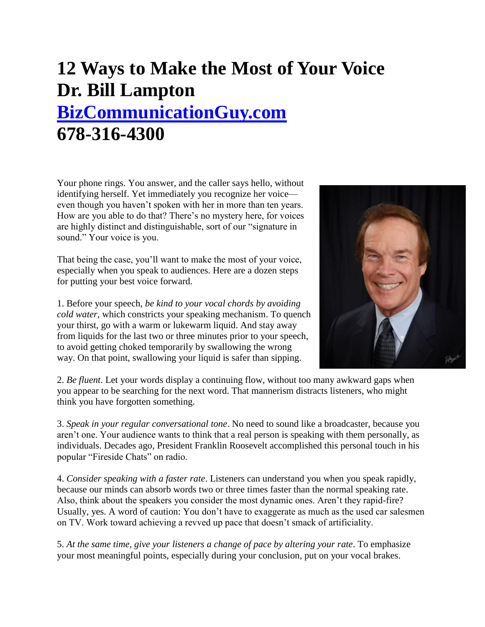## **12 Ways to Make the Most of Your Voice Dr. Bill Lampton [BizCommunicationGuy.com](http://bizcommunicationguy.com/)  678-316-4300**

Your phone rings. You answer, and the caller says hello, without identifying herself. Yet immediately you recognize her voice even though you haven't spoken with her in more than ten years. How are you able to do that? There's no mystery here, for voices are highly distinct and distinguishable, sort of our "signature in sound." Your voice is you.

That being the case, you'll want to make the most of your voice, especially when you speak to audiences. Here are a dozen steps for putting your best voice forward.

1. Before your speech, *be kind to your vocal chords by avoiding cold water*, which constricts your speaking mechanism. To quench your thirst, go with a warm or lukewarm liquid. And stay away from liquids for the last two or three minutes prior to your speech, to avoid getting choked temporarily by swallowing the wrong way. On that point, swallowing your liquid is safer than sipping.



2. *Be fluent*. Let your words display a continuing flow, without too many awkward gaps when you appear to be searching for the next word. That mannerism distracts listeners, who might think you have forgotten something.

3. *Speak in your regular conversational tone*. No need to sound like a broadcaster, because you aren't one. Your audience wants to think that a real person is speaking with them personally, as individuals. Decades ago, President Franklin Roosevelt accomplished this personal touch in his popular "Fireside Chats" on radio.

4. *Consider speaking with a faster rate*. Listeners can understand you when you speak rapidly, because our minds can absorb words two or three times faster than the normal speaking rate. Also, think about the speakers you consider the most dynamic ones. Aren't they rapid-fire? Usually, yes. A word of caution: You don't have to exaggerate as much as the used car salesmen on TV. Work toward achieving a revved up pace that doesn't smack of artificiality.

5. *At the same time, give your listeners a change of pace by altering your rate*. To emphasize your most meaningful points, especially during your conclusion, put on your vocal brakes.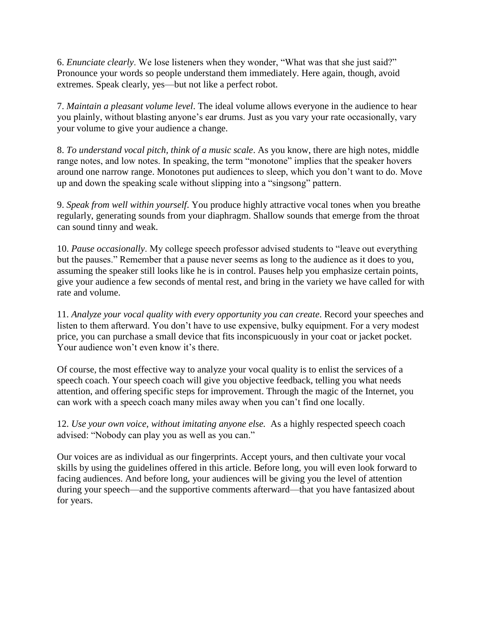6. *Enunciate clearly*. We lose listeners when they wonder, "What was that she just said?" Pronounce your words so people understand them immediately. Here again, though, avoid extremes. Speak clearly, yes—but not like a perfect robot.

7. *Maintain a pleasant volume level*. The ideal volume allows everyone in the audience to hear you plainly, without blasting anyone's ear drums. Just as you vary your rate occasionally, vary your volume to give your audience a change.

8. *To understand vocal pitch, think of a music scale*. As you know, there are high notes, middle range notes, and low notes. In speaking, the term "monotone" implies that the speaker hovers around one narrow range. Monotones put audiences to sleep, which you don't want to do. Move up and down the speaking scale without slipping into a "singsong" pattern.

9. *Speak from well within yourself*. You produce highly attractive vocal tones when you breathe regularly, generating sounds from your diaphragm. Shallow sounds that emerge from the throat can sound tinny and weak.

10. *Pause occasionally*. My college speech professor advised students to "leave out everything but the pauses." Remember that a pause never seems as long to the audience as it does to you, assuming the speaker still looks like he is in control. Pauses help you emphasize certain points, give your audience a few seconds of mental rest, and bring in the variety we have called for with rate and volume.

11. *Analyze your vocal quality with every opportunity you can create*. Record your speeches and listen to them afterward. You don't have to use expensive, bulky equipment. For a very modest price, you can purchase a small device that fits inconspicuously in your coat or jacket pocket. Your audience won't even know it's there.

Of course, the most effective way to analyze your vocal quality is to enlist the services of a speech coach. Your speech coach will give you objective feedback, telling you what needs attention, and offering specific steps for improvement. Through the magic of the Internet, you can work with a speech coach many miles away when you can't find one locally.

12. *Use your own voice, without imitating anyone else.* As a highly respected speech coach advised: "Nobody can play you as well as you can."

Our voices are as individual as our fingerprints. Accept yours, and then cultivate your vocal skills by using the guidelines offered in this article. Before long, you will even look forward to facing audiences. And before long, your audiences will be giving you the level of attention during your speech—and the supportive comments afterward—that you have fantasized about for years.